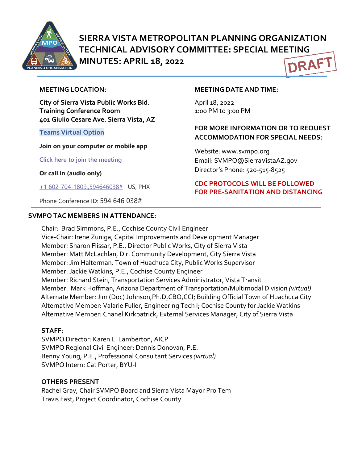

# **SIERRA VISTA METROPOLITAN PLANNING ORGANIZATION TECHNICAL ADVISORY COMMITTEE: SPECIAL MEETING MINUTES: APRIL 18, 2022 DRAF**

#### **MEETING LOCATION:**

**City of Sierra Vista Public Works Bld. Training Conference Room 401 Giulio Cesare Ave. Sierra Vista, AZ**

#### **Teams Virtual Option**

**Join on your computer or mobile app**

**[Click here to join the meeting](https://teams.microsoft.com/l/meetup-join/19%3ameeting_NDQzZjc3ZWQtYjRjNS00OTZkLWJkOGQtZjM4OTdkYzIwN2Fm%40thread.v2/0?context=%7b%22Tid%22%3a%2236676c86-4a76-422a-8d4e-223152386488%22%2c%22Oid%22%3a%22956098f9-794b-4934-9a34-9a99f53bf1f3%22%7d)**

**Or call in (audio only)**

[+1 602-704-1809,,594646038#](tel:+16027041809,,594646038#%20) US, PHX

Phone Conference ID: 594 646 038#

#### **SVMPO TAC MEMBERS IN ATTENDANCE:**

#### **MEETING DATE AND TIME:**

April 18, 2022 1:0o PM to 3:00 PM

## **FOR MORE INFORMATION OR TO REQUEST ACCOMMODATION FOR SPECIAL NEEDS:**

Website: www.svmpo.org Email: SVMPO@SierraVistaAZ.gov Director's Phone: 520-515-8525

### **CDC PROTOCOLS WILL BE FOLLOWED FOR PRE-SANITATION AND DISTANCING**

Chair: Brad Simmons, P.E., Cochise County Civil Engineer Vice-Chair: Irene Zuniga, Capital Improvements and Development Manager Member: Sharon Flissar, P.E., Director Public Works, City of Sierra Vista Member: Matt McLachlan, Dir. Community Development, City Sierra Vista Member: Jim Halterman*,* Town of Huachuca City, Public Works Supervisor Member: Jackie Watkins, P.E., Cochise County Engineer Member: Richard Stein, Transportation Services Administrator, Vista Transit Member: Mark Hoffman, Arizona Department of Transportation/Multimodal Division *(virtual)* Alternate Member: Jim (Doc) Johnson,Ph.D,CBO,CCI; Building Official Town of Huachuca City Alternative Member: Valarie Fuller, Engineering Tech I; Cochise County for Jackie Watkins Alternative Member: Chanel Kirkpatrick, External Services Manager, City of Sierra Vista

### **STAFF:**

SVMPO Director: Karen L. Lamberton, AICP SVMPO Regional Civil Engineer: Dennis Donovan, P.E. Benny Young, P.E., Professional Consultant Services *(virtual)* SVMPO Intern: Cat Porter, BYU-I

#### **OTHERS PRESENT**

Rachel Gray, Chair SVMPO Board and Sierra Vista Mayor Pro Tem Travis Fast, Project Coordinator, Cochise County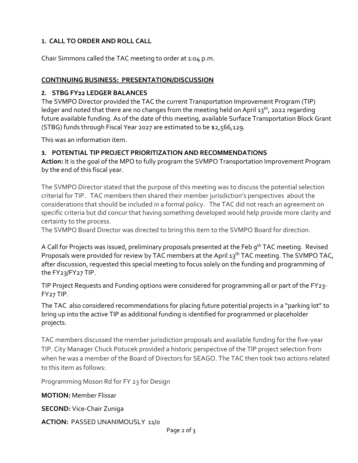# **1. CALL TO ORDER AND ROLL CALL**

Chair Simmons called the TAC meeting to order at 1:04 p.m.

### **CONTINUING BUSINESS: PRESENTATION/DISCUSSION**

### **2. STBG FY22 LEDGER BALANCES**

The SVMPO Director provided the TAC the current Transportation Improvement Program (TIP) ledger and noted that there are no changes from the meeting held on April 13<sup>th</sup>, 2022 regarding future available funding. As of the date of this meeting, available Surface Transportation Block Grant (STBG) funds through Fiscal Year 2027 are estimated to be \$2,566,129.

This was an information item.

## **3. POTENTIAL TIP PROJECT PRIORITIZATION AND RECOMMENDATIONS**

**Action:** It is the goal of the MPO to fully program the SVMPO Transportation Improvement Program by the end of this fiscal year.

The SVMPO Director stated that the purpose of this meeting was to discuss the potential selection criterial for TIP. TAC members then shared their member jurisdiction's perspectives about the considerations that should be included in a formal policy. The TAC did not reach an agreement on specific criteria but did concur that having something developed would help provide more clarity and certainty to the process.

The SVMPO Board Director was directed to bring this item to the SVMPO Board for direction.

A Call for Projects was issued, preliminary proposals presented at the Feb 9<sup>th</sup> TAC meeting. Revised Proposals were provided for review by TAC members at the April 13<sup>th</sup> TAC meeting. The SVMPO TAC, after discussion, requested this special meeting to focus solely on the funding and programming of the FY23/FY27 TIP.

TIP Project Requests and Funding options were considered for programming all or part of the FY23- FY27 TIP.

The TAC also considered recommendations for placing future potential projects in a "parking lot" to bring up into the active TIP as additional funding is identified for programmed or placeholder projects.

TAC members discussed the member jurisdiction proposals and available funding for the five-year TIP. City Manager Chuck Potucek provided a historic perspective of the TIP project selection from when he was a member of the Board of Directors for SEAGO. The TAC then took two actions related to this item as follows:

Programming Moson Rd for FY 23 for Design

**MOTION:** Member Flissar

**SECOND:** Vice-Chair Zuniga

**ACTION:** PASSED UNANIMOUSLY 11/0